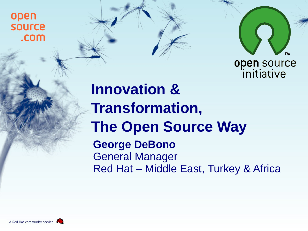open **SOUrce** .com



## **Innovation & Transformation, The Open Source Way George DeBono** General Manager Red Hat – Middle East, Turkey & Africa

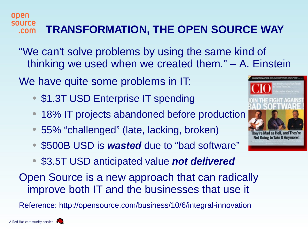"We can't solve problems by using the same kind of thinking we used when we created them." – A. Einstein

We have quite some problems in IT:

- \$1.3T USD Enterprise IT spending
- 18% IT projects abandoned before production
- 55% "challenged" (late, lacking, broken)
- \$500B USD is *wasted* due to "bad software"
- \$3.5T USD anticipated value *not delivered*

Open Source is a new approach that can radically improve both IT and the businesses that use it

Reference: http://opensource.com/business/10/6/integral-innovation



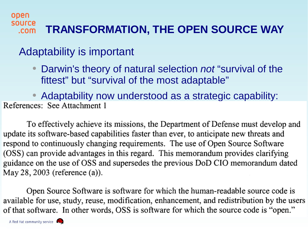## Adaptability is important

Darwin's theory of natural selection *not* "survival of the fittest" but "survival of the most adaptable"

• Adaptability now understood as a strategic capability:<br>References: See Attachment 1

To effectively achieve its missions, the Department of Defense must develop and update its software-based capabilities faster than ever, to anticipate new threats and respond to continuously changing requirements. The use of Open Source Software (OSS) can provide advantages in this regard. This memorandum provides clarifying guidance on the use of OSS and supersedes the previous DoD CIO memorandum dated May 28, 2003 (reference (a)).

Open Source Software is software for which the human-readable source code is available for use, study, reuse, modification, enhancement, and redistribution by the users of that software. In other words, OSS is software for which the source code is "open."

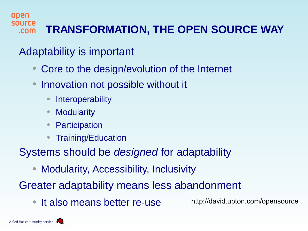## Adaptability is important

- Core to the design/evolution of the Internet
- Innovation not possible without it
	- Interoperability
	- Modularity
	- Participation
	- Training/Education

Systems should be *designed* for adaptability

**Modularity, Accessibility, Inclusivity** 

Greater adaptability means less abandonment

• It also means better re-use

http://david.upton.com/opensource

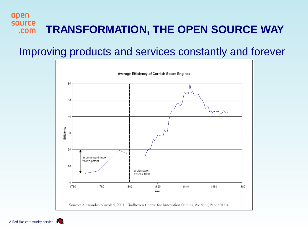## Improving products and services constantly and forever



A Red Hat community service

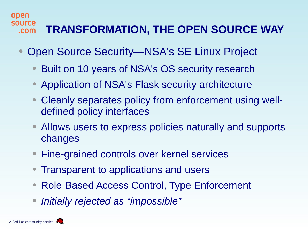- Open Source Security—NSA's SE Linux Project
	- Built on 10 years of NSA's OS security research
	- Application of NSA's Flask security architecture
	- Cleanly separates policy from enforcement using welldefined policy interfaces
	- Allows users to express policies naturally and supports changes
	- Fine-grained controls over kernel services
	- Transparent to applications and users
	- Role-Based Access Control, Type Enforcement
	- *Initially rejected as "impossible"*

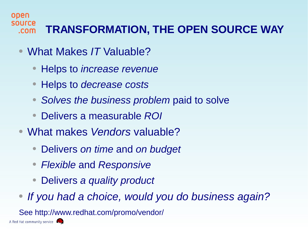- What Makes *IT* Valuable?
	- Helps to *increase revenue*
	- Helps to *decrease costs*
	- *Solves the business problem* paid to solve
	- Delivers a measurable *ROI*
- What makes *Vendors* valuable?
	- Delivers *on time* and *on budget*
	- *Flexible* and *Responsive*
	- Delivers *a quality product*
- *If you had a choice, would you do business again?*

See http://www.redhat.com/promo/vendor/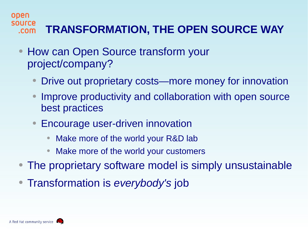- How can Open Source transform your project/company?
	- Drive out proprietary costs—more money for innovation
	- Improve productivity and collaboration with open source best practices
	- **Encourage user-driven innovation** 
		- Make more of the world your R&D lab
		- Make more of the world your customers
- The proprietary software model is simply unsustainable
- Transformation is *everybody's* job

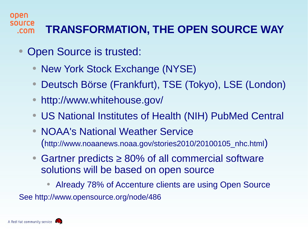- Open Source is trusted:
	- **New York Stock Exchange (NYSE)**
	- Deutsch Börse (Frankfurt), TSE (Tokyo), LSE (London)
	- http://www.whitehouse.gov/
	- US National Institutes of Health (NIH) PubMed Central
	- NOAA's National Weather Service (http://www.noaanews.noaa.gov/stories2010/20100105\_nhc.html)
	- Gartner predicts  $≥ 80%$  of all commercial software solutions will be based on open source

• Already 78% of Accenture clients are using Open Source See http://www.opensource.org/node/486

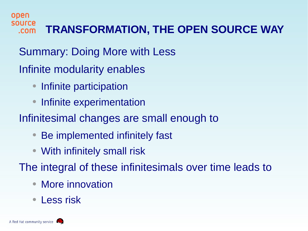open source **TRANSFORMATION, THE OPEN SOURCE WAY**.com

Summary: Doing More with Less

Infinite modularity enables

- Infinite participation
- Infinite experimentation
- Infinitesimal changes are small enough to
	- Be implemented infinitely fast
	- With infinitely small risk

The integral of these infinitesimals over time leads to

- **More innovation**
- Less risk